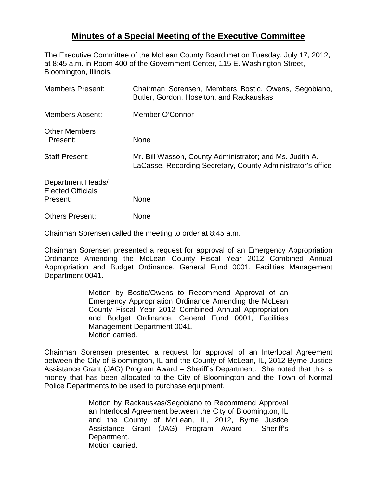## **Minutes of a Special Meeting of the Executive Committee**

The Executive Committee of the McLean County Board met on Tuesday, July 17, 2012, at 8:45 a.m. in Room 400 of the Government Center, 115 E. Washington Street, Bloomington, Illinois.

| <b>Members Present:</b>                                   | Chairman Sorensen, Members Bostic, Owens, Segobiano,<br>Butler, Gordon, Hoselton, and Rackauskas                        |
|-----------------------------------------------------------|-------------------------------------------------------------------------------------------------------------------------|
| <b>Members Absent:</b>                                    | Member O'Connor                                                                                                         |
| <b>Other Members</b><br>Present:                          | <b>None</b>                                                                                                             |
| <b>Staff Present:</b>                                     | Mr. Bill Wasson, County Administrator; and Ms. Judith A.<br>LaCasse, Recording Secretary, County Administrator's office |
| Department Heads/<br><b>Elected Officials</b><br>Present: | <b>None</b>                                                                                                             |
| <b>Others Present:</b>                                    | None                                                                                                                    |

Chairman Sorensen called the meeting to order at 8:45 a.m.

Chairman Sorensen presented a request for approval of an Emergency Appropriation Ordinance Amending the McLean County Fiscal Year 2012 Combined Annual Appropriation and Budget Ordinance, General Fund 0001, Facilities Management Department 0041.

> Motion by Bostic/Owens to Recommend Approval of an Emergency Appropriation Ordinance Amending the McLean County Fiscal Year 2012 Combined Annual Appropriation and Budget Ordinance, General Fund 0001, Facilities Management Department 0041. Motion carried.

Chairman Sorensen presented a request for approval of an Interlocal Agreement between the City of Bloomington, IL and the County of McLean, IL, 2012 Byrne Justice Assistance Grant (JAG) Program Award – Sheriff's Department. She noted that this is money that has been allocated to the City of Bloomington and the Town of Normal Police Departments to be used to purchase equipment.

> Motion by Rackauskas/Segobiano to Recommend Approval an Interlocal Agreement between the City of Bloomington, IL and the County of McLean, IL, 2012, Byrne Justice Assistance Grant (JAG) Program Award – Sheriff's Department. Motion carried.